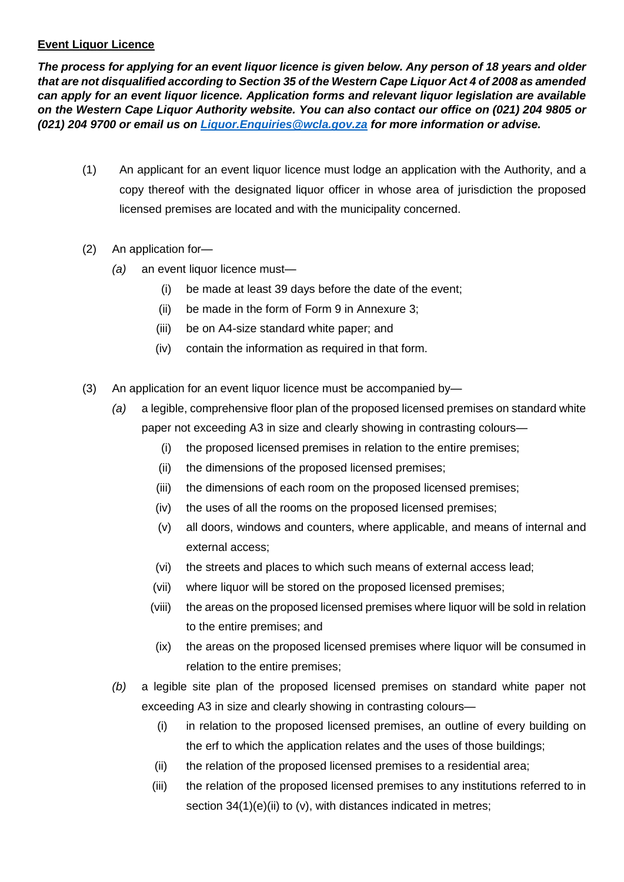## **Event Liquor Licence**

*The process for applying for an event liquor licence is given below. Any person of 18 years and older that are not disqualified according to Section 35 of the Western Cape Liquor Act 4 of 2008 as amended can apply for an event liquor licence. Application forms and relevant liquor legislation are available on the Western Cape Liquor Authority website. You can also contact our office on (021) 204 9805 or (021) 204 9700 or email us on [Liquor.Enquiries@wcla.gov.za](mailto:Liquor.Enquiries@wcla.gov.za) for more information or advise.* 

- (1) An applicant for an event liquor licence must lodge an application with the Authority, and a copy thereof with the designated liquor officer in whose area of jurisdiction the proposed licensed premises are located and with the municipality concerned.
- (2) An application for—
	- *(a)* an event liquor licence must—
		- (i) be made at least 39 days before the date of the event;
		- (ii) be made in the form of Form 9 in Annexure 3;
		- (iii) be on A4-size standard white paper; and
		- (iv) contain the information as required in that form.
- (3) An application for an event liquor licence must be accompanied by—
	- *(a)* a legible, comprehensive floor plan of the proposed licensed premises on standard white paper not exceeding A3 in size and clearly showing in contrasting colours—
		- (i) the proposed licensed premises in relation to the entire premises;
		- (ii) the dimensions of the proposed licensed premises;
		- (iii) the dimensions of each room on the proposed licensed premises;
		- (iv) the uses of all the rooms on the proposed licensed premises;
		- (v) all doors, windows and counters, where applicable, and means of internal and external access;
		- (vi) the streets and places to which such means of external access lead;
		- (vii) where liquor will be stored on the proposed licensed premises;
		- (viii) the areas on the proposed licensed premises where liquor will be sold in relation to the entire premises; and
		- (ix) the areas on the proposed licensed premises where liquor will be consumed in relation to the entire premises;
	- *(b)* a legible site plan of the proposed licensed premises on standard white paper not exceeding A3 in size and clearly showing in contrasting colours—
		- (i) in relation to the proposed licensed premises, an outline of every building on the erf to which the application relates and the uses of those buildings;
		- (ii) the relation of the proposed licensed premises to a residential area;
		- (iii) the relation of the proposed licensed premises to any institutions referred to in section 34(1)(e)(ii) to (v), with distances indicated in metres;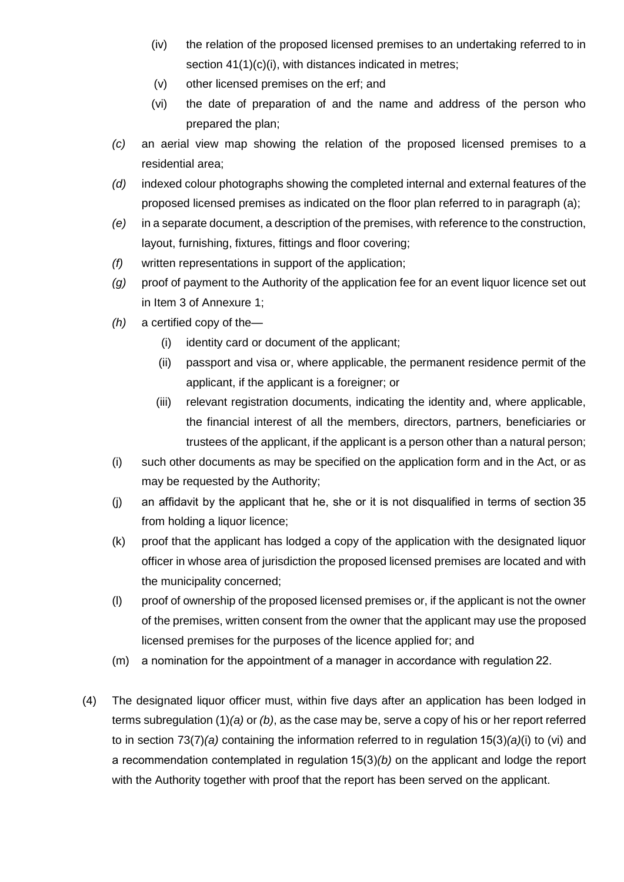- (iv) the relation of the proposed licensed premises to an undertaking referred to in section 41(1)(c)(i), with distances indicated in metres;
- (v) other licensed premises on the erf; and
- (vi) the date of preparation of and the name and address of the person who prepared the plan;
- *(c)* an aerial view map showing the relation of the proposed licensed premises to a residential area;
- *(d)* indexed colour photographs showing the completed internal and external features of the proposed licensed premises as indicated on the floor plan referred to in paragraph (a);
- *(e)* in a separate document, a description of the premises, with reference to the construction, layout, furnishing, fixtures, fittings and floor covering;
- *(f)* written representations in support of the application;
- *(g)* proof of payment to the Authority of the application fee for an event liquor licence set out in Item 3 of Annexure 1;
- *(h)* a certified copy of the—
	- (i) identity card or document of the applicant;
	- (ii) passport and visa or, where applicable, the permanent residence permit of the applicant, if the applicant is a foreigner; or
	- (iii) relevant registration documents, indicating the identity and, where applicable, the financial interest of all the members, directors, partners, beneficiaries or trustees of the applicant, if the applicant is a person other than a natural person;
- (i) such other documents as may be specified on the application form and in the Act, or as may be requested by the Authority;
- (j) an affidavit by the applicant that he, she or it is not disqualified in terms of section 35 from holding a liquor licence;
- (k) proof that the applicant has lodged a copy of the application with the designated liquor officer in whose area of jurisdiction the proposed licensed premises are located and with the municipality concerned;
- (l) proof of ownership of the proposed licensed premises or, if the applicant is not the owner of the premises, written consent from the owner that the applicant may use the proposed licensed premises for the purposes of the licence applied for; and
- (m) a nomination for the appointment of a manager in accordance with regulation 22.
- (4) The designated liquor officer must, within five days after an application has been lodged in terms subregulation (1)*(a)* or *(b)*, as the case may be, serve a copy of his or her report referred to in section 73(7)*(a)* containing the information referred to in regulation 15(3)*(a)*(i) to (vi) and a recommendation contemplated in regulation 15(3)*(b)* on the applicant and lodge the report with the Authority together with proof that the report has been served on the applicant.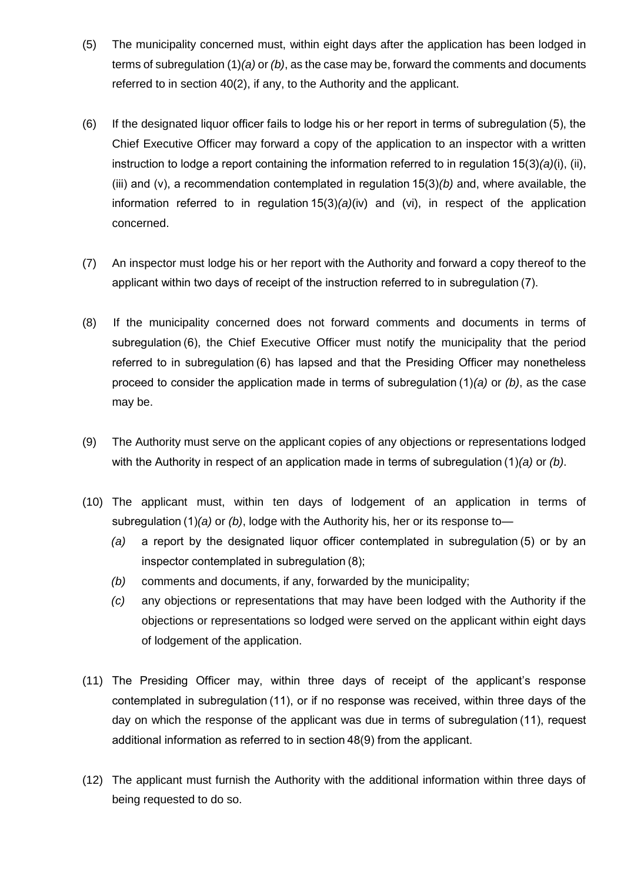- (5) The municipality concerned must, within eight days after the application has been lodged in terms of subregulation (1)*(a)* or *(b)*, as the case may be, forward the comments and documents referred to in section 40(2), if any, to the Authority and the applicant.
- (6) If the designated liquor officer fails to lodge his or her report in terms of subregulation (5), the Chief Executive Officer may forward a copy of the application to an inspector with a written instruction to lodge a report containing the information referred to in regulation 15(3)*(a)*(i), (ii), (iii) and (v), a recommendation contemplated in regulation 15(3)*(b)* and, where available, the information referred to in regulation 15(3)*(a)*(iv) and (vi), in respect of the application concerned.
- (7) An inspector must lodge his or her report with the Authority and forward a copy thereof to the applicant within two days of receipt of the instruction referred to in subregulation (7).
- (8) If the municipality concerned does not forward comments and documents in terms of subregulation (6), the Chief Executive Officer must notify the municipality that the period referred to in subregulation (6) has lapsed and that the Presiding Officer may nonetheless proceed to consider the application made in terms of subregulation (1)*(a)* or *(b)*, as the case may be.
- (9) The Authority must serve on the applicant copies of any objections or representations lodged with the Authority in respect of an application made in terms of subregulation (1)*(a)* or *(b)*.
- (10) The applicant must, within ten days of lodgement of an application in terms of subregulation (1)*(a)* or *(b)*, lodge with the Authority his, her or its response to—
	- *(a)* a report by the designated liquor officer contemplated in subregulation (5) or by an inspector contemplated in subregulation (8);
	- *(b)* comments and documents, if any, forwarded by the municipality;
	- *(c)* any objections or representations that may have been lodged with the Authority if the objections or representations so lodged were served on the applicant within eight days of lodgement of the application.
- (11) The Presiding Officer may, within three days of receipt of the applicant's response contemplated in subregulation (11), or if no response was received, within three days of the day on which the response of the applicant was due in terms of subregulation (11), request additional information as referred to in section 48(9) from the applicant.
- (12) The applicant must furnish the Authority with the additional information within three days of being requested to do so.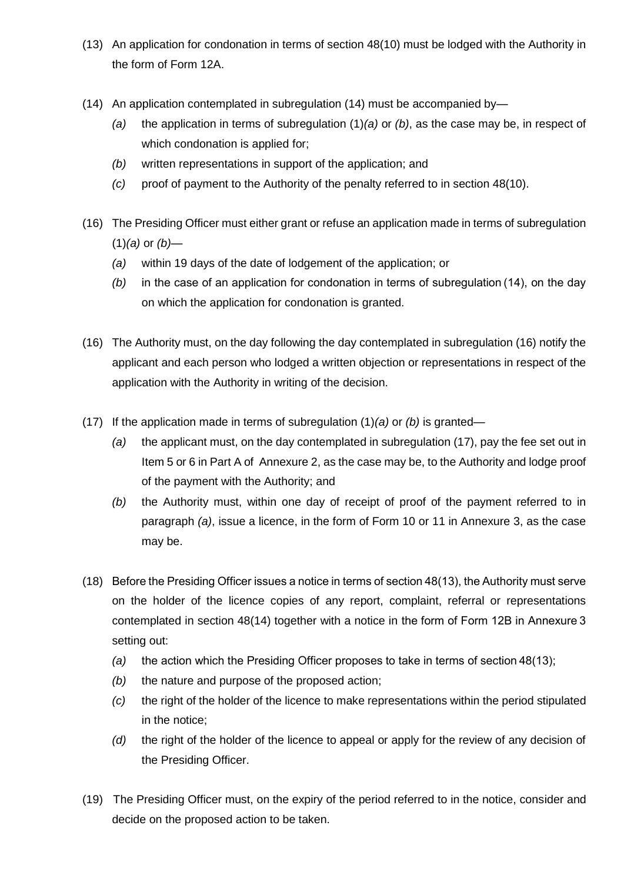- (13) An application for condonation in terms of section 48(10) must be lodged with the Authority in the form of Form 12A.
- (14) An application contemplated in subregulation (14) must be accompanied by—
	- *(a)* the application in terms of subregulation (1)*(a)* or *(b)*, as the case may be, in respect of which condonation is applied for;
	- *(b)* written representations in support of the application; and
	- *(c)* proof of payment to the Authority of the penalty referred to in section 48(10).
- (16) The Presiding Officer must either grant or refuse an application made in terms of subregulation (1)*(a)* or *(b)*—
	- *(a)* within 19 days of the date of lodgement of the application; or
	- *(b)* in the case of an application for condonation in terms of subregulation (14), on the day on which the application for condonation is granted.
- (16) The Authority must, on the day following the day contemplated in subregulation (16) notify the applicant and each person who lodged a written objection or representations in respect of the application with the Authority in writing of the decision.
- (17) If the application made in terms of subregulation (1)*(a)* or *(b)* is granted—
	- *(a)* the applicant must, on the day contemplated in subregulation (17), pay the fee set out in Item 5 or 6 in Part A of Annexure 2, as the case may be, to the Authority and lodge proof of the payment with the Authority; and
	- *(b)* the Authority must, within one day of receipt of proof of the payment referred to in paragraph *(a)*, issue a licence, in the form of Form 10 or 11 in Annexure 3, as the case may be.
- (18) Before the Presiding Officer issues a notice in terms of section 48(13), the Authority must serve on the holder of the licence copies of any report, complaint, referral or representations contemplated in section 48(14) together with a notice in the form of Form 12B in Annexure 3 setting out:
	- *(a)* the action which the Presiding Officer proposes to take in terms of section 48(13);
	- *(b)* the nature and purpose of the proposed action;
	- *(c)* the right of the holder of the licence to make representations within the period stipulated in the notice;
	- *(d)* the right of the holder of the licence to appeal or apply for the review of any decision of the Presiding Officer.
- (19) The Presiding Officer must, on the expiry of the period referred to in the notice, consider and decide on the proposed action to be taken.